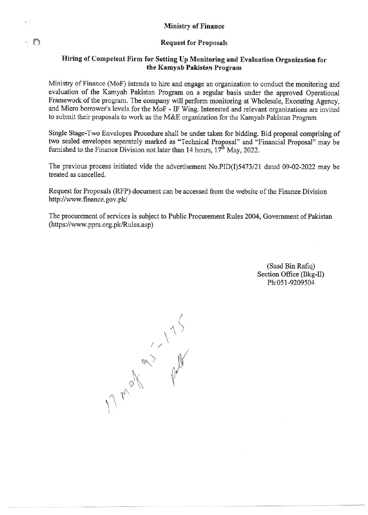#### Ministry of Finance

#### Request for Proposals

#### Hiring of Competent Firm for Setting Up Monitoring and Evaluation Organization for the Kamyab Pakistar Program

Ministry of Finance (MoF) intends to hire and engage an organization to conduct the monitoring and evaluation of the Kamyab Pakistan Program on a regular basis under the approved Operational Framework of the program. The company will perform monitoring at Wholesale, Executing Agency, and Micro borrower's levels for the MoF - IF Wing. Interested and relevant organizations are invited to submit their proposals to work as the M&E organization for the Kamyab Pakistan Program

Single Stage-Two Envelopes Procedure shall be under taken for bidding. Bid proposat comprising of two sealed envelopes separately marked as "Technical Proposal" and "Financial Proposal" may be furnished to the Finance Division not later than 14 hours,  $17^{\text{th}}$  May, 2022.

The previous process initiated vide the advertisement No.PID(I)5473/21 dated 09-02-2022 may be treated as cancelled.

Request for Proposals (RFP) document can be accessed ftom the website of the Finance Division http ://www.fmarce. gov.pk/

The procurement of services is subject to Public Procurement Rules 2004, Government of Pakistan (https://www.pga-org.pk/Rules.asp)

> (Saad Bin Rafiq) Section Office (Bkg-II) Ph:051-9209504

 $\lambda$  $\circ$  $1/\frac{1}{\sqrt{2}}$  $\mathbb{R}$ {'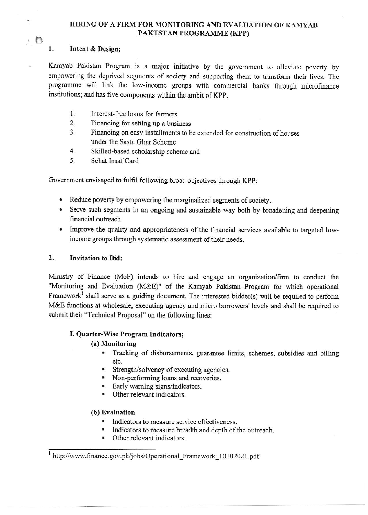#### HIRING OF A FIRM FOR MONITORING AND EVALUATION OF KAMYAB PAKTSTAN PROGRAMME (KPP)

### 1. Intent & Design:

 $\cdot$  0

Kamyab Pakistan Program is a major initiative by the govemment to alleviate poverty by empowering the deprived segments of society and supporting them to transform their lives. The programme will link the low-income groups with commercial banks through microfinance institutions; and has five components within the ambit of KPP.

- Interest-free loans for farmers 1.
- Financing for setting up a business 2.
- Financing on easy installments to be extended for construction of houses under the Sasta Ghar Scheme 3.
- Skilled-based scholarship scheme and 4.
- Sehat Insaf Card 5.

Govemment envisaged to fulfil following broad objectives though Kpp:

- Reduce poverty by empowering the marginalized segments of society.
- Serve such segments in an ongoing and sustainable way both by broadening and deepening financial outreach.
- . lmprove the quality and apprcpriateness of the financial services available to targeted lowincome groups through systematic assessment of their needs.

### 2. Invitation to Bid:

Ministry of Finance (MoF) intends to hire and engage an organization/firm to conduct the "Monitoring and Evaluation (M&E)" of the Kamyab Pakistan Program for which operational Framework<sup>1</sup> shall serve as a guiding document. The interested bidder(s) will be required to perform M&E functions at wholesale, executing agency and micro borrowers' levels and shall be required to submit their "Technical Proposal" on the following lines:

### I. Quarter-Wise Program Indicators;

#### (a) Monitoring

- . Tracking of disbursemerts, guarantee limits, schemes, subsidies and bilting etc.
- . Stength/solvency of executing agencies.
- . Non-perfoming loans and recoveries.
- **Early warning signs/indicators.**
- . Other relevant indicators.

#### (b) Evaluation

- Indicators to measure service effectiveness.
- Indicators to measure breadth and depth of the outreach.
- Other relevant indicators.

# $1$  http://www.finance.gov.pk/jobs/Operational\_Framework 10102021.pdf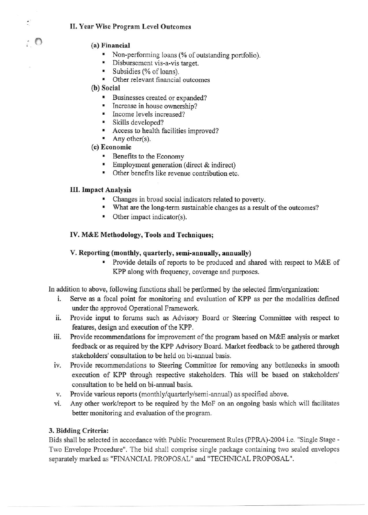### IL Year Wise Program Level Outcomes

- (a) Financial
	- Non-performing loans (% of outstanding portfolio).<br>• Disbursement vis-a-vis target
	- Disbursement vis-a-vis target.
	- Subsidies (% of loans).
	- Other relevant financial outcomes
- (b) Social
	- . Businesses created or expanded?
	- . Increase in house ownenhip?
	- . Income levels increased?
	- . Skills developed?
	- . Access to health facilities improved?
	- $'$  Any other(s).
- (c) Economic
	- . Benefits to the Economy
	- **Employment generation (direct & indirect)**
	- Other benefits like revenue contribution etc.

#### III. Impact Aralysis

- Changes in broad social indicators related to poverty.
- " What are the long-term sustainable changes as a result of the outcomes?
- ' Other impact indicator(s).

#### IV. M&E Methodology, Tools and Techniques;

#### V. Reporting (monthly, quarterly, semi-annually, annually)

 $\blacksquare$  Provide details of reports to be produced and shared with respect to M&E of KPP along with frequency, coverage and purposes.

In addition to above, following functions shall be performed by the selected firm/organization:

- i. Serve as a focal point for monitoring and evaluation of KPP as per the modalities defined under the approved Operational Framework.
- ii. Provide input to forums such as Advisory Board or Steering Committee with respect to features, design and execution of the KPP.
- iii. Provide recommendations for improvement of the program based on M&E analysis or market feedback or as required by the KPP Advisory Boad. Market feedback to be gathered through stakeholders' consultation to be held on bi-annual basis.
- iv. Provide recommendations to Steering Committee for removing any bottlenecks in smooth execution of KPP through respective stakeholders. This will be based on stakeholders' consultation to be held on bi-annual basis.
- v. Provide various reports (monthly/quarterly/semi-annual) as specified above.
- vi. Any other work/report to be required by the MoF on an ongoing basis which will facilitates better monitoring and evaluation of the program.

#### 3. Bidding Criteria:

Bids shall be selected in accordance with Public Procurement Rules (PPRA)-2004 i.e. "Single Stage - Two Envelope Procedure". The bid shall comprise single package containing two sealed envelopes separately marked as "FINANCIAL PROPOSAL" and "TECHNICAL PROPOSAL".

 $\cdot$  0

 $\frac{\bullet}{\bullet}$